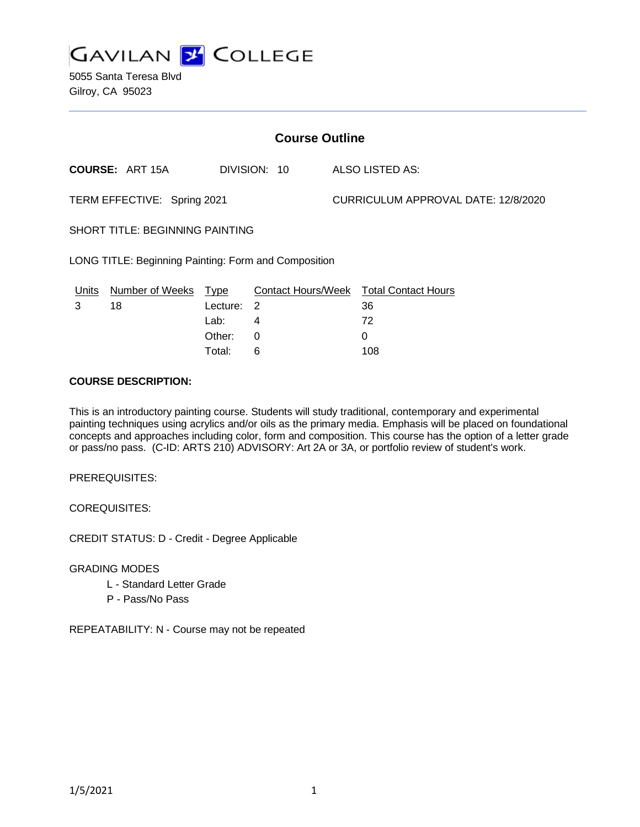

5055 Santa Teresa Blvd Gilroy, CA 95023

| <b>Course Outline</b>                                |                        |            |              |                                     |                                               |
|------------------------------------------------------|------------------------|------------|--------------|-------------------------------------|-----------------------------------------------|
|                                                      | <b>COURSE: ART 15A</b> |            | DIVISION: 10 |                                     | ALSO LISTED AS:                               |
| TERM EFFECTIVE: Spring 2021                          |                        |            |              | CURRICULUM APPROVAL DATE: 12/8/2020 |                                               |
| <b>SHORT TITLE: BEGINNING PAINTING</b>               |                        |            |              |                                     |                                               |
| LONG TITLE: Beginning Painting: Form and Composition |                        |            |              |                                     |                                               |
| <u>Units</u>                                         | Number of Weeks Type   |            |              |                                     | <b>Contact Hours/Week Total Contact Hours</b> |
| 3                                                    | 18                     | Lecture: 2 |              |                                     | 36                                            |
|                                                      |                        | Lab:       | 4            |                                     | 72                                            |
|                                                      |                        | Other:     | 0            |                                     | 0                                             |
|                                                      |                        | Total:     | 6            |                                     | 108                                           |

#### **COURSE DESCRIPTION:**

This is an introductory painting course. Students will study traditional, contemporary and experimental painting techniques using acrylics and/or oils as the primary media. Emphasis will be placed on foundational concepts and approaches including color, form and composition. This course has the option of a letter grade or pass/no pass. (C-ID: ARTS 210) ADVISORY: Art 2A or 3A, or portfolio review of student's work.

PREREQUISITES:

COREQUISITES:

CREDIT STATUS: D - Credit - Degree Applicable

GRADING MODES

- L Standard Letter Grade
- P Pass/No Pass

REPEATABILITY: N - Course may not be repeated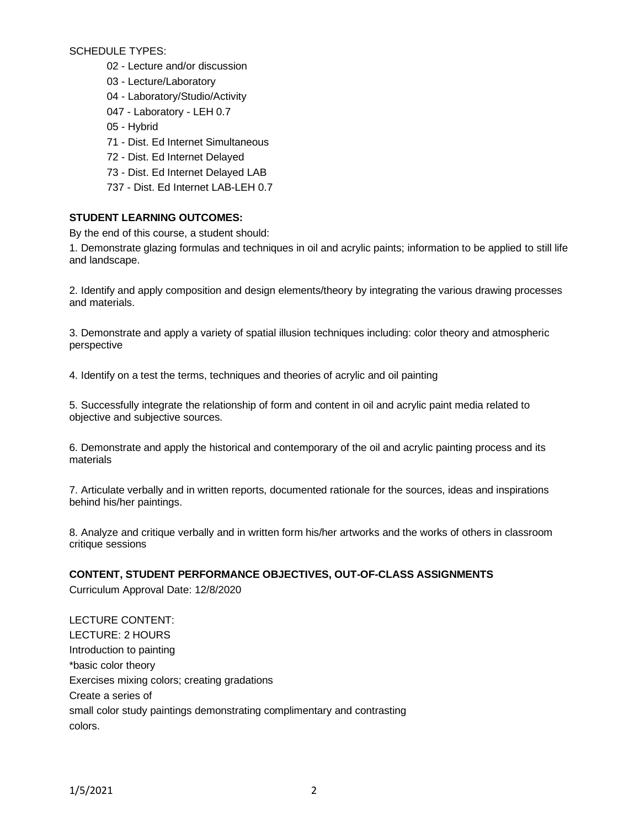SCHEDULE TYPES:

- 02 Lecture and/or discussion
- 03 Lecture/Laboratory
- 04 Laboratory/Studio/Activity
- 047 Laboratory LEH 0.7
- 05 Hybrid
- 71 Dist. Ed Internet Simultaneous
- 72 Dist. Ed Internet Delayed
- 73 Dist. Ed Internet Delayed LAB
- 737 Dist. Ed Internet LAB-LEH 0.7

## **STUDENT LEARNING OUTCOMES:**

By the end of this course, a student should:

1. Demonstrate glazing formulas and techniques in oil and acrylic paints; information to be applied to still life and landscape.

2. Identify and apply composition and design elements/theory by integrating the various drawing processes and materials.

3. Demonstrate and apply a variety of spatial illusion techniques including: color theory and atmospheric perspective

4. Identify on a test the terms, techniques and theories of acrylic and oil painting

5. Successfully integrate the relationship of form and content in oil and acrylic paint media related to objective and subjective sources.

6. Demonstrate and apply the historical and contemporary of the oil and acrylic painting process and its materials

7. Articulate verbally and in written reports, documented rationale for the sources, ideas and inspirations behind his/her paintings.

8. Analyze and critique verbally and in written form his/her artworks and the works of others in classroom critique sessions

### **CONTENT, STUDENT PERFORMANCE OBJECTIVES, OUT-OF-CLASS ASSIGNMENTS**

Curriculum Approval Date: 12/8/2020

LECTURE CONTENT: LECTURE: 2 HOURS Introduction to painting \*basic color theory Exercises mixing colors; creating gradations Create a series of small color study paintings demonstrating complimentary and contrasting colors.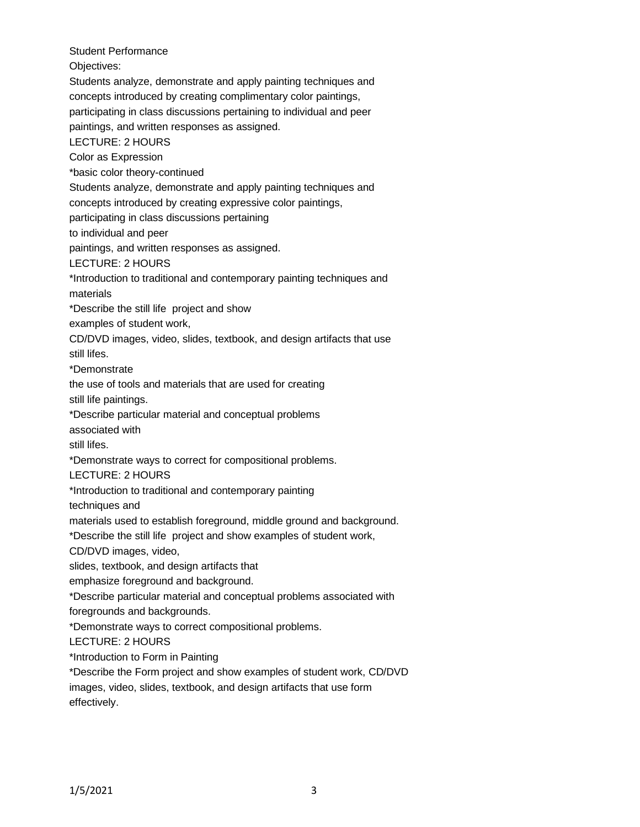Student Performance Objectives: Students analyze, demonstrate and apply painting techniques and concepts introduced by creating complimentary color paintings, participating in class discussions pertaining to individual and peer paintings, and written responses as assigned. LECTURE: 2 HOURS Color as Expression \*basic color theory-continued Students analyze, demonstrate and apply painting techniques and concepts introduced by creating expressive color paintings, participating in class discussions pertaining to individual and peer paintings, and written responses as assigned. LECTURE: 2 HOURS \*Introduction to traditional and contemporary painting techniques and materials \*Describe the still life project and show examples of student work, CD/DVD images, video, slides, textbook, and design artifacts that use still lifes. \*Demonstrate the use of tools and materials that are used for creating still life paintings. \*Describe particular material and conceptual problems associated with still lifes. \*Demonstrate ways to correct for compositional problems. LECTURE: 2 HOURS \*Introduction to traditional and contemporary painting techniques and materials used to establish foreground, middle ground and background. \*Describe the still life project and show examples of student work, CD/DVD images, video, slides, textbook, and design artifacts that emphasize foreground and background. \*Describe particular material and conceptual problems associated with foregrounds and backgrounds. \*Demonstrate ways to correct compositional problems. LECTURE: 2 HOURS \*Introduction to Form in Painting \*Describe the Form project and show examples of student work, CD/DVD images, video, slides, textbook, and design artifacts that use form

effectively.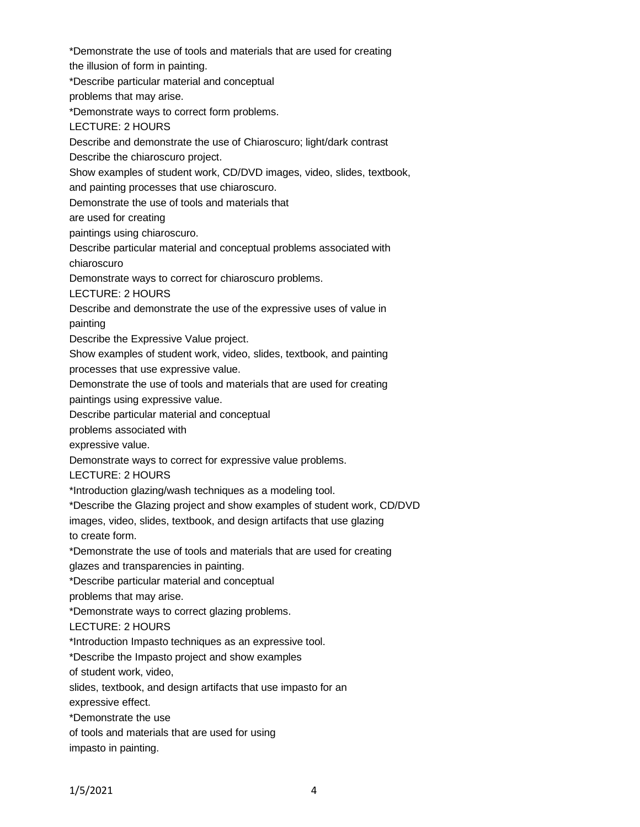\*Demonstrate the use of tools and materials that are used for creating the illusion of form in painting. \*Describe particular material and conceptual problems that may arise. \*Demonstrate ways to correct form problems. LECTURE: 2 HOURS Describe and demonstrate the use of Chiaroscuro; light/dark contrast Describe the chiaroscuro project. Show examples of student work, CD/DVD images, video, slides, textbook, and painting processes that use chiaroscuro. Demonstrate the use of tools and materials that are used for creating paintings using chiaroscuro. Describe particular material and conceptual problems associated with chiaroscuro Demonstrate ways to correct for chiaroscuro problems. LECTURE: 2 HOURS Describe and demonstrate the use of the expressive uses of value in painting Describe the Expressive Value project. Show examples of student work, video, slides, textbook, and painting processes that use expressive value. Demonstrate the use of tools and materials that are used for creating paintings using expressive value. Describe particular material and conceptual problems associated with expressive value. Demonstrate ways to correct for expressive value problems. LECTURE: 2 HOURS \*Introduction glazing/wash techniques as a modeling tool. \*Describe the Glazing project and show examples of student work, CD/DVD images, video, slides, textbook, and design artifacts that use glazing to create form. \*Demonstrate the use of tools and materials that are used for creating glazes and transparencies in painting. \*Describe particular material and conceptual problems that may arise. \*Demonstrate ways to correct glazing problems. LECTURE: 2 HOURS \*Introduction Impasto techniques as an expressive tool. \*Describe the Impasto project and show examples of student work, video, slides, textbook, and design artifacts that use impasto for an expressive effect. \*Demonstrate the use of tools and materials that are used for using impasto in painting.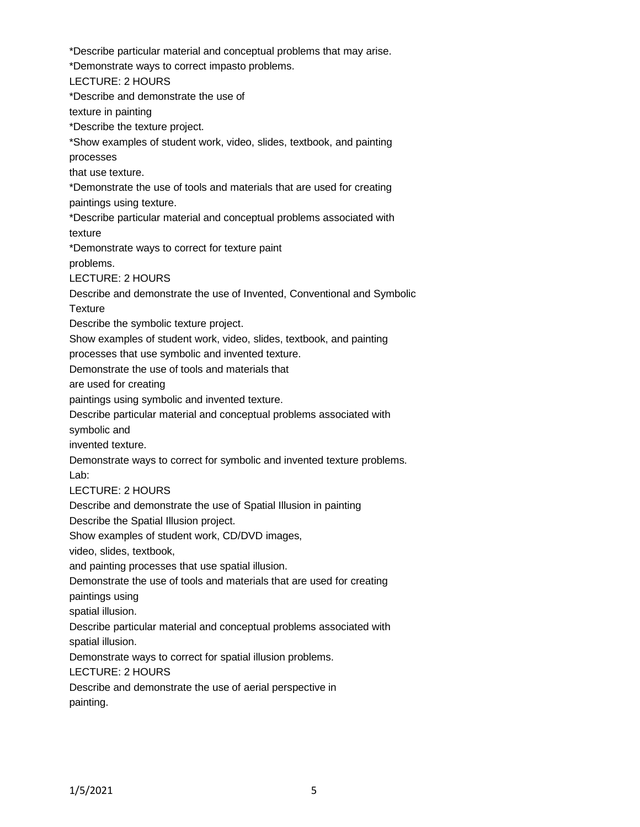\*Describe particular material and conceptual problems that may arise. \*Demonstrate ways to correct impasto problems. LECTURE: 2 HOURS \*Describe and demonstrate the use of texture in painting \*Describe the texture project. \*Show examples of student work, video, slides, textbook, and painting processes that use texture. \*Demonstrate the use of tools and materials that are used for creating paintings using texture. \*Describe particular material and conceptual problems associated with texture \*Demonstrate ways to correct for texture paint problems. LECTURE: 2 HOURS Describe and demonstrate the use of Invented, Conventional and Symbolic **Texture** Describe the symbolic texture project. Show examples of student work, video, slides, textbook, and painting processes that use symbolic and invented texture. Demonstrate the use of tools and materials that are used for creating paintings using symbolic and invented texture. Describe particular material and conceptual problems associated with symbolic and invented texture. Demonstrate ways to correct for symbolic and invented texture problems. Lab: LECTURE: 2 HOURS Describe and demonstrate the use of Spatial Illusion in painting Describe the Spatial Illusion project. Show examples of student work, CD/DVD images, video, slides, textbook, and painting processes that use spatial illusion. Demonstrate the use of tools and materials that are used for creating paintings using spatial illusion. Describe particular material and conceptual problems associated with spatial illusion. Demonstrate ways to correct for spatial illusion problems. LECTURE: 2 HOURS Describe and demonstrate the use of aerial perspective in painting.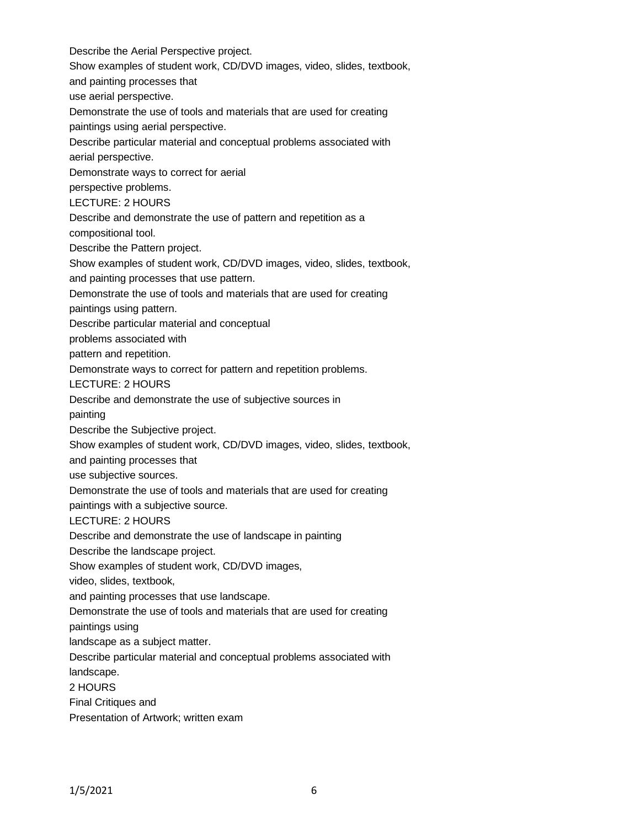Describe the Aerial Perspective project. Show examples of student work, CD/DVD images, video, slides, textbook, and painting processes that use aerial perspective. Demonstrate the use of tools and materials that are used for creating paintings using aerial perspective. Describe particular material and conceptual problems associated with aerial perspective. Demonstrate ways to correct for aerial perspective problems. LECTURE: 2 HOURS Describe and demonstrate the use of pattern and repetition as a compositional tool. Describe the Pattern project. Show examples of student work, CD/DVD images, video, slides, textbook, and painting processes that use pattern. Demonstrate the use of tools and materials that are used for creating paintings using pattern. Describe particular material and conceptual problems associated with pattern and repetition. Demonstrate ways to correct for pattern and repetition problems. LECTURE: 2 HOURS Describe and demonstrate the use of subjective sources in painting Describe the Subjective project. Show examples of student work, CD/DVD images, video, slides, textbook, and painting processes that use subjective sources. Demonstrate the use of tools and materials that are used for creating paintings with a subjective source. LECTURE: 2 HOURS Describe and demonstrate the use of landscape in painting Describe the landscape project. Show examples of student work, CD/DVD images, video, slides, textbook, and painting processes that use landscape. Demonstrate the use of tools and materials that are used for creating paintings using landscape as a subject matter. Describe particular material and conceptual problems associated with landscape. 2 HOURS Final Critiques and Presentation of Artwork; written exam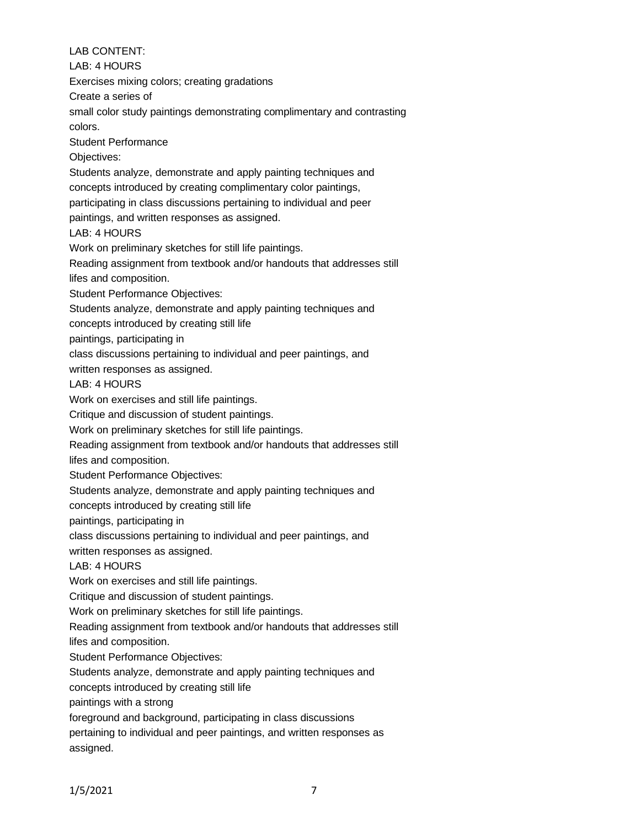# LAB CONTENT:

LAB: 4 HOURS

Exercises mixing colors; creating gradations

Create a series of

small color study paintings demonstrating complimentary and contrasting colors.

Student Performance

Objectives:

Students analyze, demonstrate and apply painting techniques and concepts introduced by creating complimentary color paintings,

participating in class discussions pertaining to individual and peer

paintings, and written responses as assigned.

LAB: 4 HOURS

Work on preliminary sketches for still life paintings.

Reading assignment from textbook and/or handouts that addresses still lifes and composition.

Student Performance Objectives:

Students analyze, demonstrate and apply painting techniques and

concepts introduced by creating still life

paintings, participating in

class discussions pertaining to individual and peer paintings, and

written responses as assigned.

LAB: 4 HOURS

Work on exercises and still life paintings.

Critique and discussion of student paintings.

Work on preliminary sketches for still life paintings.

Reading assignment from textbook and/or handouts that addresses still

lifes and composition.

Student Performance Objectives:

Students analyze, demonstrate and apply painting techniques and

concepts introduced by creating still life

paintings, participating in

class discussions pertaining to individual and peer paintings, and

written responses as assigned.

LAB: 4 HOURS

Work on exercises and still life paintings.

Critique and discussion of student paintings.

Work on preliminary sketches for still life paintings.

Reading assignment from textbook and/or handouts that addresses still lifes and composition.

Student Performance Objectives:

Students analyze, demonstrate and apply painting techniques and concepts introduced by creating still life

paintings with a strong

foreground and background, participating in class discussions

pertaining to individual and peer paintings, and written responses as assigned.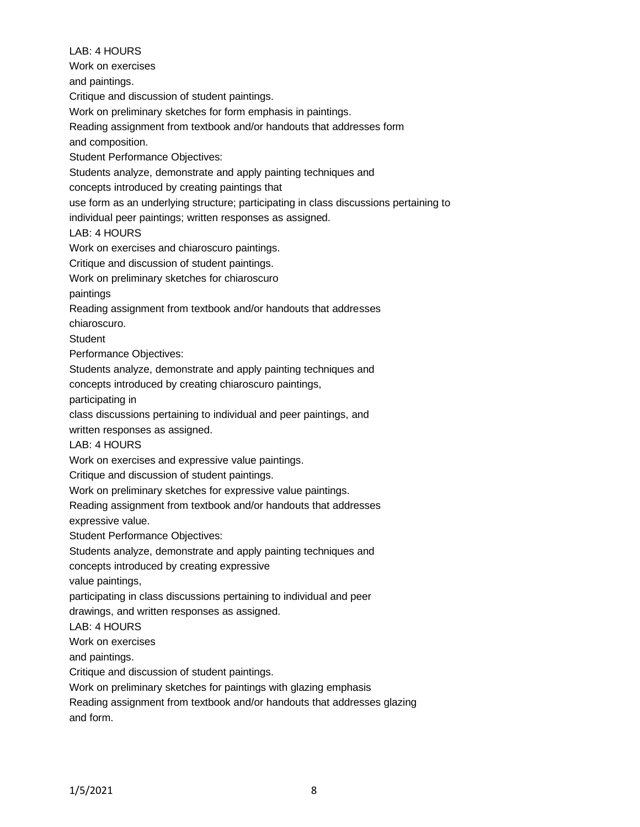LAB: 4 HOURS Work on exercises and paintings. Critique and discussion of student paintings. Work on preliminary sketches for form emphasis in paintings. Reading assignment from textbook and/or handouts that addresses form and composition. Student Performance Objectives: Students analyze, demonstrate and apply painting techniques and concepts introduced by creating paintings that use form as an underlying structure; participating in class discussions pertaining to individual peer paintings; written responses as assigned. LAB: 4 HOURS Work on exercises and chiaroscuro paintings. Critique and discussion of student paintings. Work on preliminary sketches for chiaroscuro paintings Reading assignment from textbook and/or handouts that addresses chiaroscuro. **Student** Performance Objectives: Students analyze, demonstrate and apply painting techniques and concepts introduced by creating chiaroscuro paintings, participating in class discussions pertaining to individual and peer paintings, and written responses as assigned. LAB: 4 HOURS Work on exercises and expressive value paintings. Critique and discussion of student paintings. Work on preliminary sketches for expressive value paintings. Reading assignment from textbook and/or handouts that addresses expressive value. Student Performance Objectives: Students analyze, demonstrate and apply painting techniques and concepts introduced by creating expressive value paintings, participating in class discussions pertaining to individual and peer drawings, and written responses as assigned. LAB: 4 HOURS Work on exercises and paintings. Critique and discussion of student paintings. Work on preliminary sketches for paintings with glazing emphasis Reading assignment from textbook and/or handouts that addresses glazing

and form.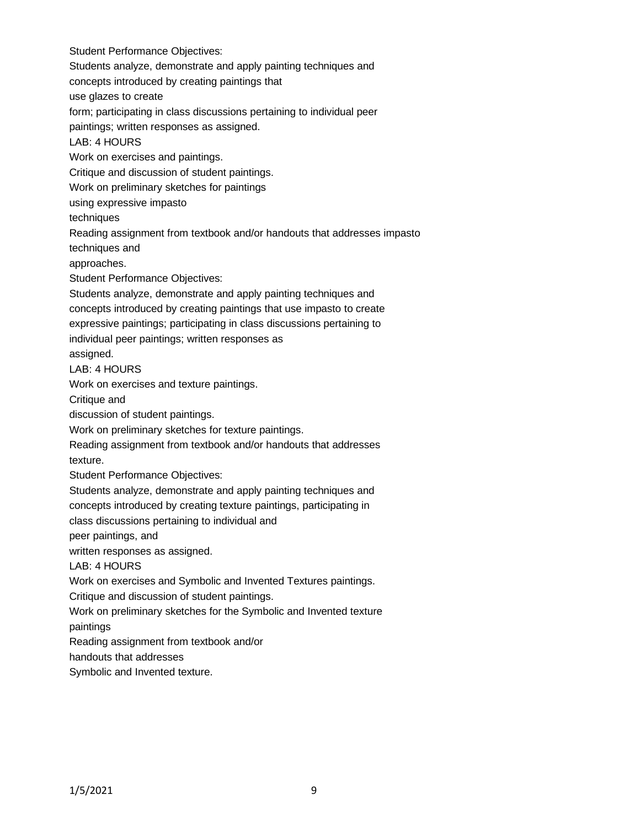Student Performance Objectives: Students analyze, demonstrate and apply painting techniques and concepts introduced by creating paintings that use glazes to create form; participating in class discussions pertaining to individual peer paintings; written responses as assigned. LAB: 4 HOURS Work on exercises and paintings. Critique and discussion of student paintings. Work on preliminary sketches for paintings using expressive impasto techniques Reading assignment from textbook and/or handouts that addresses impasto techniques and approaches. Student Performance Objectives: Students analyze, demonstrate and apply painting techniques and concepts introduced by creating paintings that use impasto to create expressive paintings; participating in class discussions pertaining to individual peer paintings; written responses as assigned. LAB: 4 HOURS Work on exercises and texture paintings. Critique and discussion of student paintings. Work on preliminary sketches for texture paintings. Reading assignment from textbook and/or handouts that addresses texture. Student Performance Objectives: Students analyze, demonstrate and apply painting techniques and concepts introduced by creating texture paintings, participating in class discussions pertaining to individual and peer paintings, and written responses as assigned. LAB: 4 HOURS Work on exercises and Symbolic and Invented Textures paintings. Critique and discussion of student paintings. Work on preliminary sketches for the Symbolic and Invented texture paintings Reading assignment from textbook and/or handouts that addresses Symbolic and Invented texture.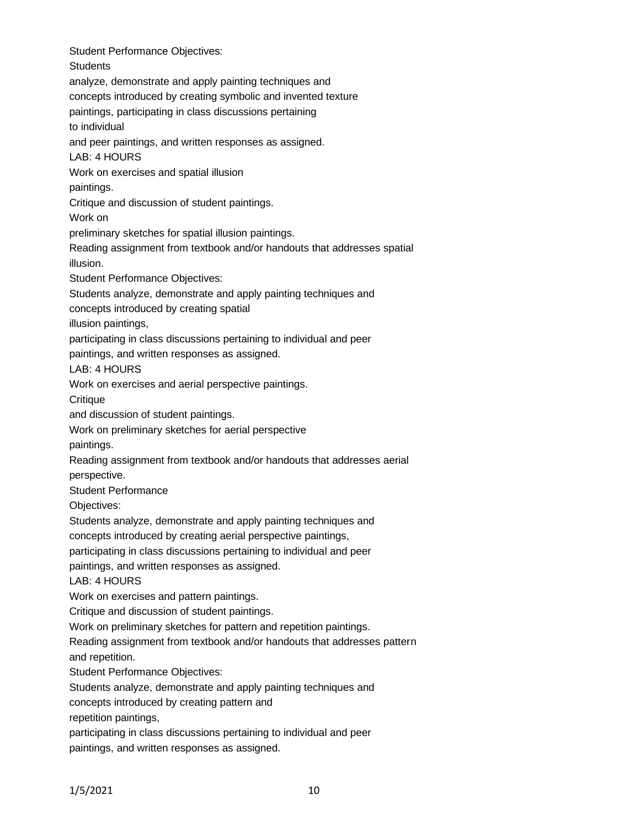Student Performance Objectives: **Students** analyze, demonstrate and apply painting techniques and concepts introduced by creating symbolic and invented texture paintings, participating in class discussions pertaining to individual and peer paintings, and written responses as assigned. LAB: 4 HOURS Work on exercises and spatial illusion paintings. Critique and discussion of student paintings. Work on preliminary sketches for spatial illusion paintings. Reading assignment from textbook and/or handouts that addresses spatial illusion. Student Performance Objectives: Students analyze, demonstrate and apply painting techniques and concepts introduced by creating spatial illusion paintings, participating in class discussions pertaining to individual and peer paintings, and written responses as assigned. LAB: 4 HOURS Work on exercises and aerial perspective paintings. **Critique** and discussion of student paintings. Work on preliminary sketches for aerial perspective paintings. Reading assignment from textbook and/or handouts that addresses aerial perspective. Student Performance Objectives: Students analyze, demonstrate and apply painting techniques and concepts introduced by creating aerial perspective paintings, participating in class discussions pertaining to individual and peer paintings, and written responses as assigned. LAB: 4 HOURS Work on exercises and pattern paintings. Critique and discussion of student paintings. Work on preliminary sketches for pattern and repetition paintings. Reading assignment from textbook and/or handouts that addresses pattern and repetition. Student Performance Objectives: Students analyze, demonstrate and apply painting techniques and concepts introduced by creating pattern and repetition paintings, participating in class discussions pertaining to individual and peer

paintings, and written responses as assigned.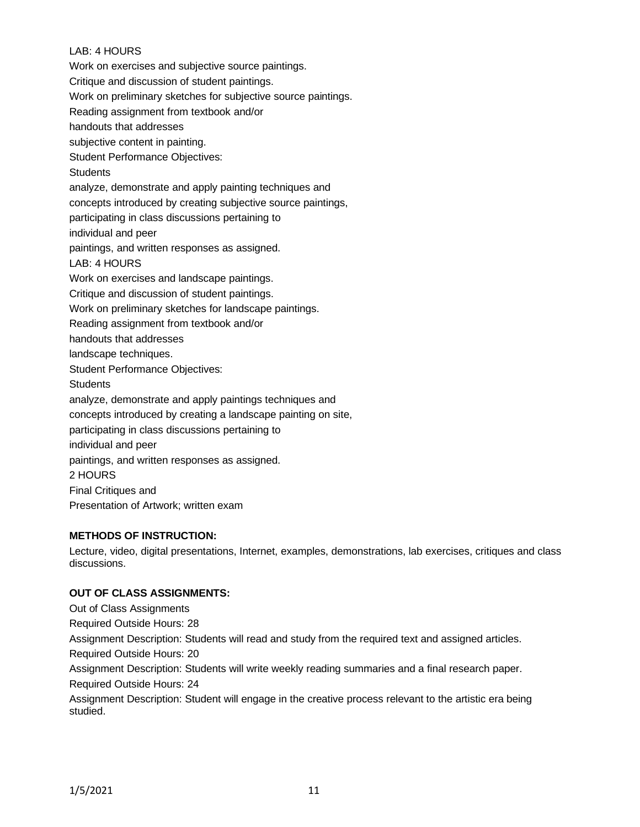### LAB: 4 HOURS

Work on exercises and subjective source paintings.

Critique and discussion of student paintings.

Work on preliminary sketches for subjective source paintings.

Reading assignment from textbook and/or

handouts that addresses

subjective content in painting.

Student Performance Objectives:

**Students** 

analyze, demonstrate and apply painting techniques and

concepts introduced by creating subjective source paintings,

participating in class discussions pertaining to

individual and peer

paintings, and written responses as assigned.

LAB: 4 HOURS

Work on exercises and landscape paintings.

Critique and discussion of student paintings.

Work on preliminary sketches for landscape paintings.

Reading assignment from textbook and/or

handouts that addresses

landscape techniques.

Student Performance Objectives:

**Students** 

analyze, demonstrate and apply paintings techniques and

concepts introduced by creating a landscape painting on site,

participating in class discussions pertaining to

individual and peer

paintings, and written responses as assigned.

2 HOURS

Final Critiques and

Presentation of Artwork; written exam

### **METHODS OF INSTRUCTION:**

Lecture, video, digital presentations, Internet, examples, demonstrations, lab exercises, critiques and class discussions.

## **OUT OF CLASS ASSIGNMENTS:**

Out of Class Assignments Required Outside Hours: 28 Assignment Description: Students will read and study from the required text and assigned articles. Required Outside Hours: 20 Assignment Description: Students will write weekly reading summaries and a final research paper. Required Outside Hours: 24 Assignment Description: Student will engage in the creative process relevant to the artistic era being studied.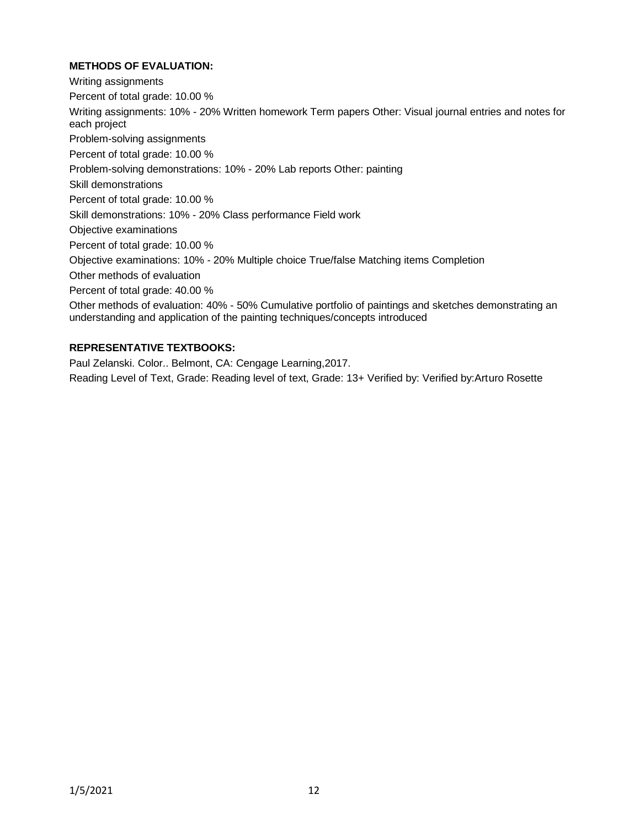## **METHODS OF EVALUATION:**

Writing assignments Percent of total grade: 10.00 % Writing assignments: 10% - 20% Written homework Term papers Other: Visual journal entries and notes for each project Problem-solving assignments Percent of total grade: 10.00 % Problem-solving demonstrations: 10% - 20% Lab reports Other: painting Skill demonstrations Percent of total grade: 10.00 % Skill demonstrations: 10% - 20% Class performance Field work Objective examinations Percent of total grade: 10.00 % Objective examinations: 10% - 20% Multiple choice True/false Matching items Completion Other methods of evaluation Percent of total grade: 40.00 % Other methods of evaluation: 40% - 50% Cumulative portfolio of paintings and sketches demonstrating an understanding and application of the painting techniques/concepts introduced

## **REPRESENTATIVE TEXTBOOKS:**

Paul Zelanski. Color.. Belmont, CA: Cengage Learning,2017. Reading Level of Text, Grade: Reading level of text, Grade: 13+ Verified by: Verified by:Arturo Rosette